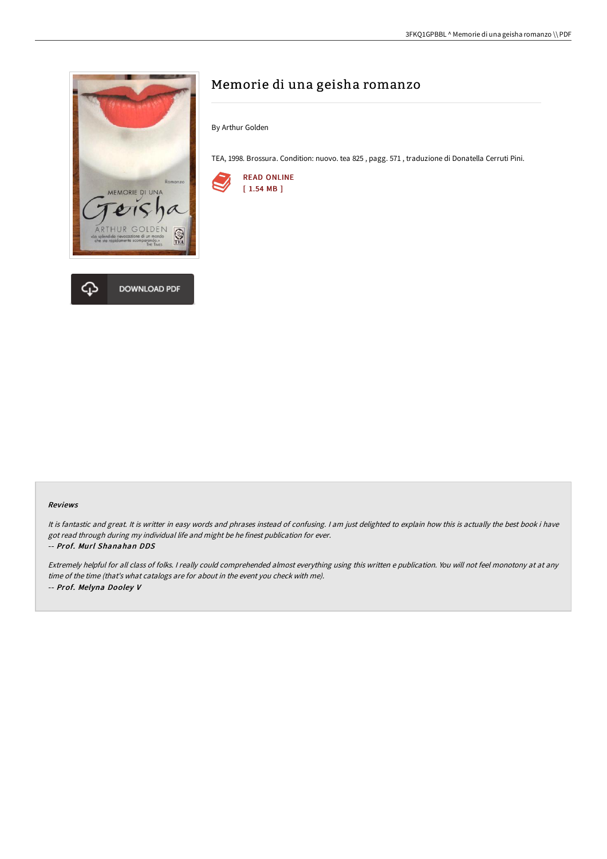

# Memorie di una geisha romanzo

By Arthur Golden

TEA, 1998. Brossura. Condition: nuovo. tea 825 , pagg. 571 , traduzione di Donatella Cerruti Pini.



#### Reviews

It is fantastic and great. It is writter in easy words and phrases instead of confusing. <sup>I</sup> am just delighted to explain how this is actually the best book i have got read through during my individual life and might be he finest publication for ever. -- Prof. Murl Shanahan DDS

Extremely helpful for all class of folks. <sup>I</sup> really could comprehended almost everything using this written <sup>e</sup> publication. You will not feel monotony at at any time of the time (that's what catalogs are for about in the event you check with me). -- Prof. Melyna Dooley V